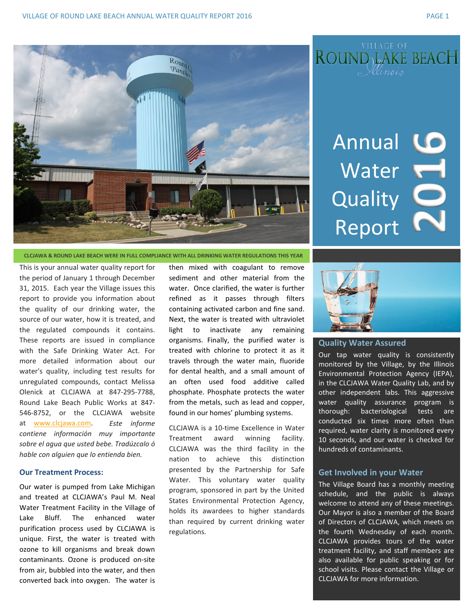Round  $\frac{m_{\eta_0}}{m_{\eta_1}}$ 

Annual LO Water **Quality** Report

**CLCJAWA & ROUND LAKE BEACH WERE IN FULL COMPLIANCE WITH ALL DRINKING WATER REGULATIONS THIS YEAR**

This is your annual water quality report for the period of January 1 through December 31, 2015. Each year the Village issues this report to provide you information about the quality of our drinking water, the source of our water, how it is treated, and the regulated compounds it contains. These reports are issued in compliance with the Safe Drinking Water Act. For more detailed information about our water's quality, including test results for unregulated compounds, contact Melissa Olenick at CLCJAWA at 847-295-7788, Round Lake Beach Public Works at 847- 546-8752, or the CLCJAWA website at www.clcjawa.com. *Este informe contiene informaciόn muy importante sobre el agua que usted bebe. Tradúzcalo ό hable con alguien que lo entienda bien.*

## **Our Treatment Process:**

Our water is pumped from Lake Michigan and treated at CLCJAWA's Paul M. Neal Water Treatment Facility in the Village of Lake Bluff. The enhanced water purification process used by CLCJAWA is unique. First, the water is treated with ozone to kill organisms and break down contaminants. Ozone is produced on-site from air, bubbled into the water, and then converted back into oxygen. The water is

then mixed with coagulant to remove sediment and other material from the water. Once clarified, the water is further refined as it passes through filters containing activated carbon and fine sand. Next, the water is treated with ultraviolet light to inactivate any remaining organisms. Finally, the purified water is treated with chlorine to protect it as it travels through the water main, fluoride for dental health, and a small amount of an often used food additive called phosphate. Phosphate protects the water from the metals, such as lead and copper, found in our homes' plumbing systems.

CLCJAWA is a 10-time Excellence in Water Treatment award winning facility. CLCJAWA was the third facility in the nation to achieve this distinction presented by the Partnership for Safe Water. This voluntary water quality program, sponsored in part by the United States Environmental Protection Agency, holds its awardees to higher standards than required by current drinking water regulations.



## **Quality Water Assured**

Our tap water quality is consistently monitored by the Village, by the Illinois Environmental Protection Agency (IEPA), in the CLCJAWA Water Quality Lab, and by other independent labs. This aggressive water quality assurance program is thorough: bacteriological tests are conducted six times more often than required, water clarity is monitored every 10 seconds, and our water is checked for hundreds of contaminants.

# **Get Involved in your Water**

The Village Board has a monthly meeting schedule, and the public is always welcome to attend any of these meetings. Our Mayor is also a member of the Board of Directors of CLCJAWA, which meets on the fourth Wednesday of each month. CLCJAWA provides tours of the water treatment facility, and staff members are also available for public speaking or for school visits. Please contact the Village or CLCJAWA for more information.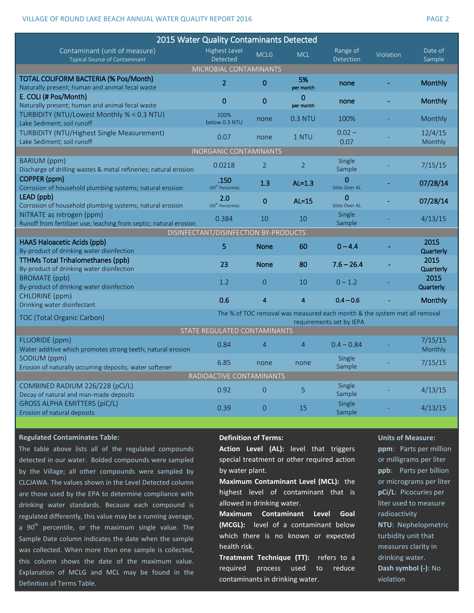## VILLAGE OF ROUND LAKE BEACH ANNUAL WATER OUALITY REPORT 2016 CHANGER AND RESERVE TO PAGE 2

| 2015 Water Quality Contaminants Detected                                              |                                                                           |                |                           |                         |           |                    |
|---------------------------------------------------------------------------------------|---------------------------------------------------------------------------|----------------|---------------------------|-------------------------|-----------|--------------------|
|                                                                                       | Highest Level                                                             |                |                           |                         |           | Date of            |
| Contaminant (unit of measure)<br>Typical Source of Contaminant                        | Detected                                                                  | <b>MCLG</b>    | <b>MCL</b>                | Range of<br>Detection   | Violation | Sample             |
| MICROBIAL CONTAMINANTS                                                                |                                                                           |                |                           |                         |           |                    |
| TOTAL COLIFORM BACTERIA (% Pos/Month)                                                 | $\overline{2}$                                                            | $\mathbf 0$    | 5%                        |                         |           | <b>Monthly</b>     |
| Naturally present; human and animal fecal waste                                       |                                                                           |                | per month                 | none                    |           |                    |
| E. COLI (# Pos/Month)                                                                 | $\mathbf 0$                                                               | $\bf{0}$       | $\mathbf{0}$<br>per month | none                    |           | <b>Monthly</b>     |
| Naturally present; human and animal fecal waste                                       |                                                                           |                |                           |                         |           |                    |
| TURBIDITY (NTU/Lowest Monthly % < 0.3 NTU)                                            | 100%<br>below 0.3 NTU                                                     | none           | <b>0.3 NTU</b>            | 100%                    |           | Monthly            |
| Lake Sediment; soil runoff<br>TURBIDITY (NTU/Highest Single Measurement)              |                                                                           |                |                           | $0.02 -$                |           | 12/4/15            |
| Lake Sediment; soil runoff                                                            | 0.07                                                                      | none           | 1 NTU                     | 0.07                    |           | Monthly            |
| INORGANIC CONTAMINANTS                                                                |                                                                           |                |                           |                         |           |                    |
| BARIUM (ppm)                                                                          |                                                                           |                |                           | Single                  |           |                    |
| Discharge of drilling wastes & metal refineries; natural erosion                      | 0.0218                                                                    | 2              | 2                         | Sample                  |           | 7/15/15            |
| COPPER (ppm)                                                                          | .150                                                                      | 1.3            | $AL=1.3$                  | 0                       |           | 07/28/14           |
| Corrosion of household plumbing systems; natural erosion                              | (90 <sup>th</sup> Percentile)                                             |                |                           | <b>Sites Over AL</b>    |           |                    |
| LEAD (ppb)                                                                            | 2.0                                                                       | $\mathbf 0$    | $AL=15$                   | 0                       |           | 07/28/14           |
| Corrosion of household plumbing systems; natural erosion<br>NITRATE as nitrogen (ppm) | (90 <sup>th</sup> Percentile)                                             |                |                           | Sites Over AL<br>Single |           |                    |
| Runoff from fertilizer use; leaching from septic; natural erosion                     | 0.384                                                                     | 10             | 10                        | Sample                  |           | 4/13/15            |
| DISINFECTANT/DISINFECTION BY-PRODUCTS                                                 |                                                                           |                |                           |                         |           |                    |
| HAA5 Haloacetic Acids (ppb)                                                           | 5                                                                         |                |                           |                         |           | 2015               |
| By-product of drinking water disinfection                                             |                                                                           | <b>None</b>    | 60                        | $0 - 4.4$               |           | Quarterly          |
| <b>TTHMs Total Trihalomethanes (ppb)</b>                                              | 23                                                                        | <b>None</b>    | 80                        | $7.6 - 26.4$            |           | 2015               |
| By-product of drinking water disinfection                                             |                                                                           |                |                           |                         |           | Quarterly          |
| <b>BROMATE</b> (ppb)<br>By-product of drinking water disinfection                     | 1.2                                                                       | $\overline{O}$ | 10                        | $0 - 1.2$               |           | 2015               |
| CHLORINE (ppm)                                                                        |                                                                           |                |                           |                         |           | Quarterly          |
| Drinking water disinfectant                                                           | 0.6                                                                       | $\overline{4}$ | $\overline{\mathbf{4}}$   | $0.4 - 0.6$             |           | <b>Monthly</b>     |
| TOC (Total Organic Carbon)                                                            | The % of TOC removal was measured each month & the system met all removal |                |                           |                         |           |                    |
| requirements set by IEPA                                                              |                                                                           |                |                           |                         |           |                    |
| STATE REGULATED CONTAMINANTS                                                          |                                                                           |                |                           |                         |           |                    |
| <b>FLUORIDE</b> (ppm)<br>Water additive which promotes strong teeth; natural erosion  | 0.84                                                                      | $\overline{4}$ | $\overline{4}$            | $0.4 - 0.84$            |           | 7/15/15<br>Monthly |
| SODIUM (ppm)                                                                          |                                                                           |                |                           | Single                  |           |                    |
| Erosion of naturally occurring deposits; water softener                               | 6.85                                                                      | none           | none                      | Sample                  |           | 7/15/15            |
| RADIOACTIVE CONTAMINANTS                                                              |                                                                           |                |                           |                         |           |                    |
| COMBINED RADIUM 226/228 (pCi/L)                                                       | 0.92                                                                      | $\Omega$       | 5                         | Single                  |           | 4/13/15            |
| Decay of natural and man-made deposits                                                |                                                                           |                |                           | Sample                  |           |                    |
| <b>GROSS ALPHA EMITTERS (piC/L)</b>                                                   | 0.39                                                                      | $\overline{0}$ | 15                        | Single                  |           | 4/13/15            |
| Erosion of natural deposits                                                           |                                                                           |                |                           | Sample                  |           |                    |

### **Regulated Contaminates Table:**

The table above lists all of the regulated compounds detected in our water. Bolded compounds were sampled by the Village; all other compounds were sampled by CLCJAWA. The values shown in the Level Detected column are those used by the EPA to determine compliance with drinking water standards. Because each compound is regulated differently, this value may be a running average, a  $90<sup>th</sup>$  percentile, or the maximum single value. The Sample Date column indicates the date when the sample was collected. When more than one sample is collected, this column shows the date of the maximum value. Explanation of MCLG and MCL may be found in the Definition of Terms Table.

### **Definition of Terms:**

**Action Level (AL):** level that triggers special treatment or other required action by water plant.

**Maximum Contaminant Level (MCL):** the highest level of contaminant that is allowed in drinking water.

**Maximum Contaminant Level Goal (MCGL):** level of a contaminant below which there is no known or expected health risk.

**Treatment Technique (TT):** refers to a required process used to reduce contaminants in drinking water.

### **Units of Measure:**

**ppm**: Parts per million or milligrams per liter **ppb**: Parts per billion or micrograms per liter **pCi/L**: Picocuries per liter used to measure radioactivity **NTU**: Nephelopmetric turbidity unit that measures clarity in drinking water. **Dash symbol (-)**: No violation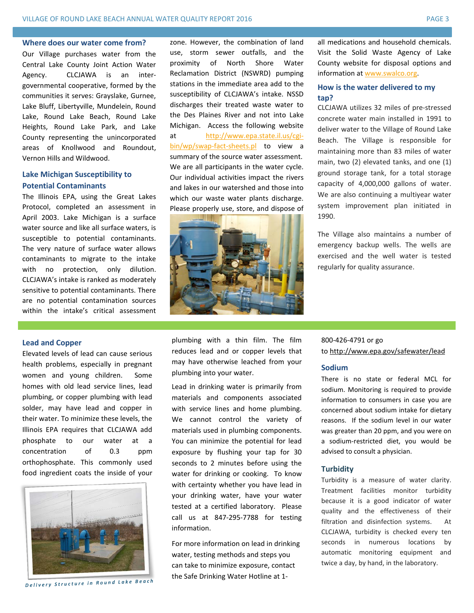### **Where does our water come from?**

Our Village purchases water from the Central Lake County Joint Action Water Agency. CLCJAWA is an intergovernmental cooperative, formed by the communities it serves: Grayslake, Gurnee, Lake Bluff, Libertyville, Mundelein, Round Lake, Round Lake Beach, Round Lake Heights, Round Lake Park, and Lake County representing the unincorporated areas of Knollwood and Roundout, Vernon Hills and Wildwood.

# **Lake Michigan Susceptibility to Potential Contaminants**

The Illinois EPA, using the Great Lakes Protocol, completed an assessment in April 2003. Lake Michigan is a surface water source and like all surface waters, is susceptible to potential contaminants. The very nature of surface water allows contaminants to migrate to the intake with no protection, only dilution. CLCJAWA's intake is ranked as moderately sensitive to potential contaminants. There are no potential contamination sources within the intake's critical assessment

### **Lead and Copper**

Elevated levels of lead can cause serious health problems, especially in pregnant women and young children. Some homes with old lead service lines, lead plumbing, or copper plumbing with lead solder, may have lead and copper in their water. To minimize these levels, the Illinois EPA requires that CLCJAWA add phosphate to our water at a concentration of 0.3 ppm orthophosphate. This commonly used food ingredient coats the inside of your



**Delivery Structure in Round Lake Beach** 

zone. However, the combination of land use, storm sewer outfalls, and the proximity of North Shore Water Reclamation District (NSWRD) pumping stations in the immediate area add to the susceptibility of CLCJAWA's intake. NSSD discharges their treated waste water to the Des Plaines River and not into Lake Michigan. Access the following website at [http://www.epa.state.il.us/cgi](http://www.epa.state.il.us/cgi-bin/wp/swap-fact-sheets.pl)[bin/wp/swap-fact-sheets.pl](http://www.epa.state.il.us/cgi-bin/wp/swap-fact-sheets.pl) to view a summary of the source water assessment. We are all participants in the water cycle. Our individual activities impact the rivers and lakes in our watershed and those into which our waste water plants discharge. Please properly use, store, and dispose of



all medications and household chemicals. Visit the Solid Waste Agency of Lake County website for disposal options and information a[t www.swalco.org.](http://www.swalco.org/)

## **How is the water delivered to my tap?**

CLCJAWA utilizes 32 miles of pre-stressed concrete water main installed in 1991 to deliver water to the Village of Round Lake Beach. The Village is responsible for maintaining more than 83 miles of water main, two (2) elevated tanks, and one (1) ground storage tank, for a total storage capacity of 4,000,000 gallons of water. We are also continuing a multiyear water system improvement plan initiated in 1990.

The Village also maintains a number of emergency backup wells. The wells are exercised and the well water is tested regularly for quality assurance.

plumbing with a thin film. The film reduces lead and or copper levels that may have otherwise leached from your plumbing into your water.

Lead in drinking water is primarily from materials and components associated with service lines and home plumbing. We cannot control the variety of materials used in plumbing components. You can minimize the potential for lead exposure by flushing your tap for 30 seconds to 2 minutes before using the water for drinking or cooking. To know with certainty whether you have lead in your drinking water, have your water tested at a certified laboratory. Please call us at 847-295-7788 for testing information.

For more information on lead in drinking water, testing methods and steps you can take to minimize exposure, contact the Safe Drinking Water Hotline at 1-

# 800-426-4791 or go to<http://www.epa.gov/safewater/lead>

### **Sodium**

There is no state or federal MCL for sodium. Monitoring is required to provide information to consumers in case you are concerned about sodium intake for dietary reasons. If the sodium level in our water was greater than 20 ppm, and you were on a sodium-restricted diet, you would be advised to consult a physician.

### **Turbidity**

Turbidity is a measure of water clarity. Treatment facilities monitor turbidity because it is a good indicator of water quality and the effectiveness of their filtration and disinfection systems. At CLCJAWA, turbidity is checked every ten seconds in numerous locations by automatic monitoring equipment and twice a day, by hand, in the laboratory.